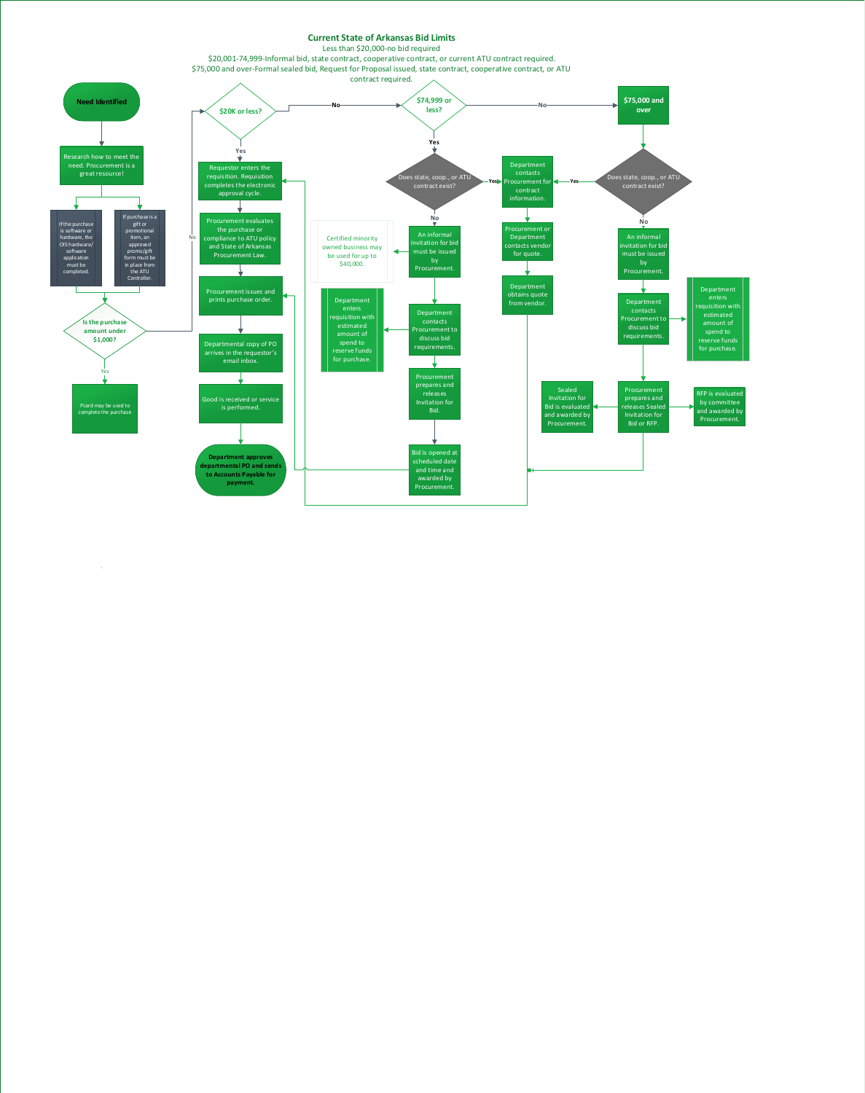

 $\Delta_{\rm eff}$ 

### **Current State of Arkansas Bid Limits**

Less than \$20,000-no bid required

\$20,001-74,999-Informal bid, state contract, cooperative contract, or current ATU contract required.

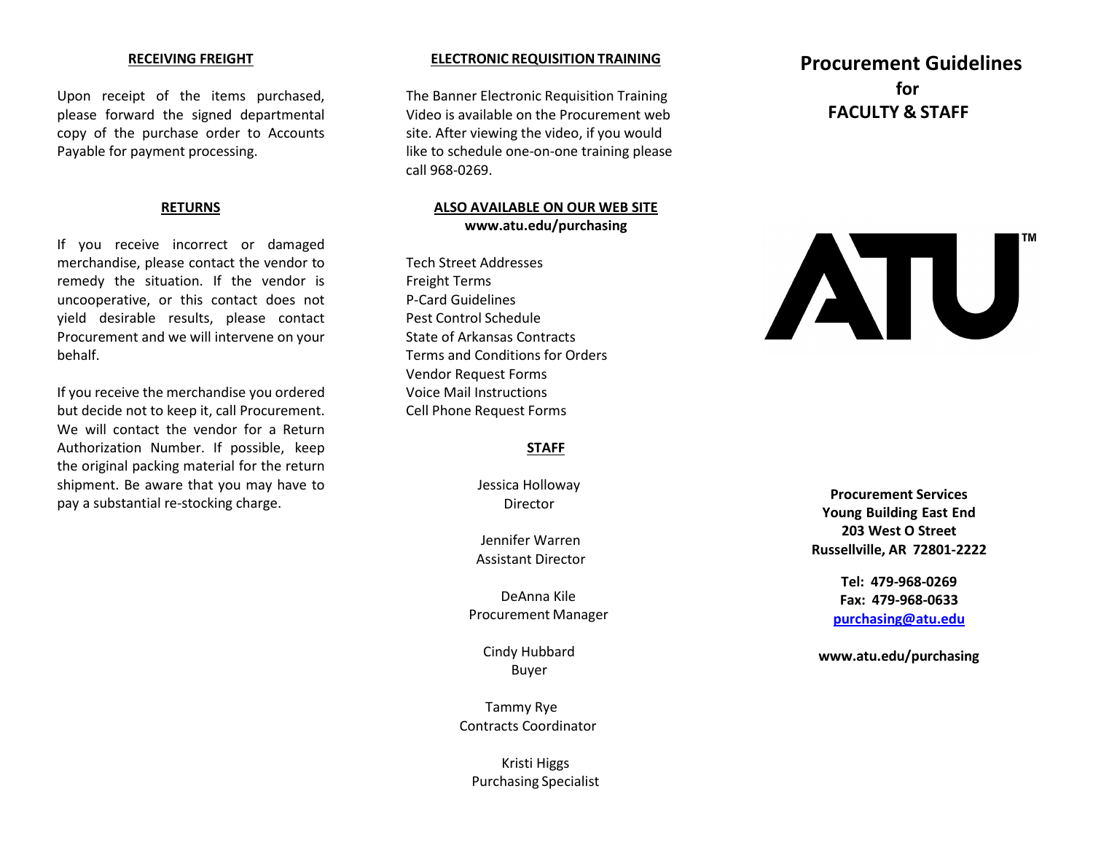#### **RECEIVING FREIGHT**

Upon receipt of the items purchased, please forward the signed departmental copy of the purchase order to Accounts Payable for payment processing.

#### **RETURNS**

If you receive incorrect or damaged merchandise, please contact the vendor to remedy the situation. If the vendor is uncooperative, or this contact does not yield desirable results, please contact Procurement and we will intervene on your behalf.

If you receive the merchandise you ordered but decide not to keep it, call Procurement. We will contact the vendor for a Return Authorization Number. If possible, keep the original packing material for the return shipment. Be aware that you may have to pay a substantial re-stocking charge.

#### **ELECTRONIC REQUISITION TRAINING**

The Banner Electronic Requisition Training Video is available on the Procurement web site. After viewing the video, if you would like to schedule one-on-one training please call 968-0269.

#### **ALSO AVAILABLE ON OUR WEB SITE [www.atu.edu/purchasing](http://www.atu.edu/purchasing)**

Tech Street Addresses Freight Terms P-Card Guidelines Pest Control Schedule State of Arkansas Contracts Terms and Conditions for Orders Vendor Request Forms Voice Mail Instructions Cell Phone Request Forms

#### **STAFF**

Jessica Holloway Director

Jennifer Warren Assistant Director

DeAnna Kile Procurement Manager

> Cindy Hubbard Buyer

Tammy Rye Contracts Coordinator

Kristi Higgs Purchasing Specialist

## **Procurement Guidelines for FACULTY & STAFF**



**Procurement Services Young Building East End 203 West O Street Russellville, AR 72801-2222**

> **Tel: 479-968-0269 Fax: 479-968-0633 [purchasing@atu.edu](mailto:purchasing@atu.edu)**

**[www.atu.edu/purchasing](http://www.atu.edu/purchasing)**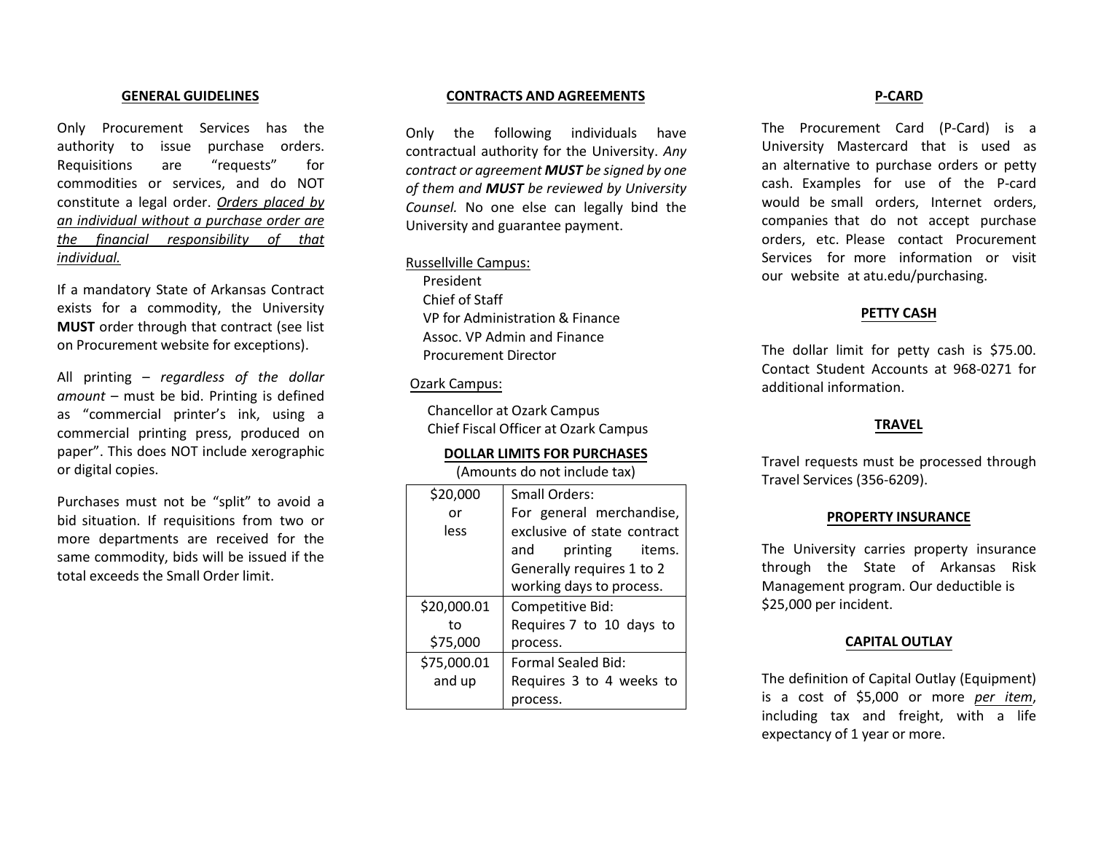#### **GENERAL GUIDELINES**

Only Procurement Services has the authority to issue purchase orders. Requisitions are "requests" for commodities or services, and do NOT constitute a legal order. *Orders placed by an individual without a purchase order are the financial responsibility of that individual.*

If a mandatory State of Arkansas Contract exists for a commodity, the University **MUST** order through that contract (see list on Procurement website for exceptions).

All printing – *regardless of the dollar amount* – must be bid. Printing is defined as "commercial printer's ink, using a commercial printing press, produced on paper". This does NOT include xerographic or digital copies.

Purchases must not be "split" to avoid a bid situation. If requisitions from two or more departments are received for the same commodity, bids will be issued if the total exceeds the Small Order limit.

#### **CONTRACTS AND AGREEMENTS**

Only the following individuals have contractual authority for the University. *Any contract or agreement MUST be signed by one of them and MUST be reviewed by University Counsel.* No one else can legally bind the University and guarantee payment.

#### Russellville Campus:

President Chief of Staff VP for Administration & Finance Assoc. VP Admin and Finance Procurement Director

#### Ozark Campus:

Chancellor at Ozark Campus Chief Fiscal Officer at Ozark Campus

#### **DOLLAR LIMITS FOR PURCHASES**

(Amounts do not include tax)

| \$20,000    | Small Orders:               |
|-------------|-----------------------------|
| or          | For general merchandise,    |
| less        | exclusive of state contract |
|             | and<br>printing items.      |
|             | Generally requires 1 to 2   |
|             | working days to process.    |
| \$20,000.01 | Competitive Bid:            |
| to          | Requires 7 to 10 days to    |
| \$75,000    | process.                    |
| \$75,000.01 | <b>Formal Sealed Bid:</b>   |
| and up      | Requires 3 to 4 weeks to    |
|             | process.                    |

#### **P-CARD**

The Procurement Card (P-Card) is a University Mastercard that is used as an alternative to purchase orders or petty cash. Examples for use of the P-card would be small orders, Internet orders, companies that do not accept purchase orders, etc. Please contact Procurement Services for more information or visit our website at atu.edu/purchasing.

#### **PETTY CASH**

The dollar limit for petty cash is \$75.00. Contact Student Accounts at 968-0271 for additional information.

#### **TRAVEL**

Travel requests must be processed through Travel Services (356-6209).

#### **PROPERTY INSURANCE**

The University carries property insurance through the State of Arkansas Risk Management program. Our deductible is \$25,000 per incident.

#### **CAPITAL OUTLAY**

The definition of Capital Outlay (Equipment) is a cost of \$5,000 or more *per item*, including tax and freight, with a life expectancy of 1 year or more.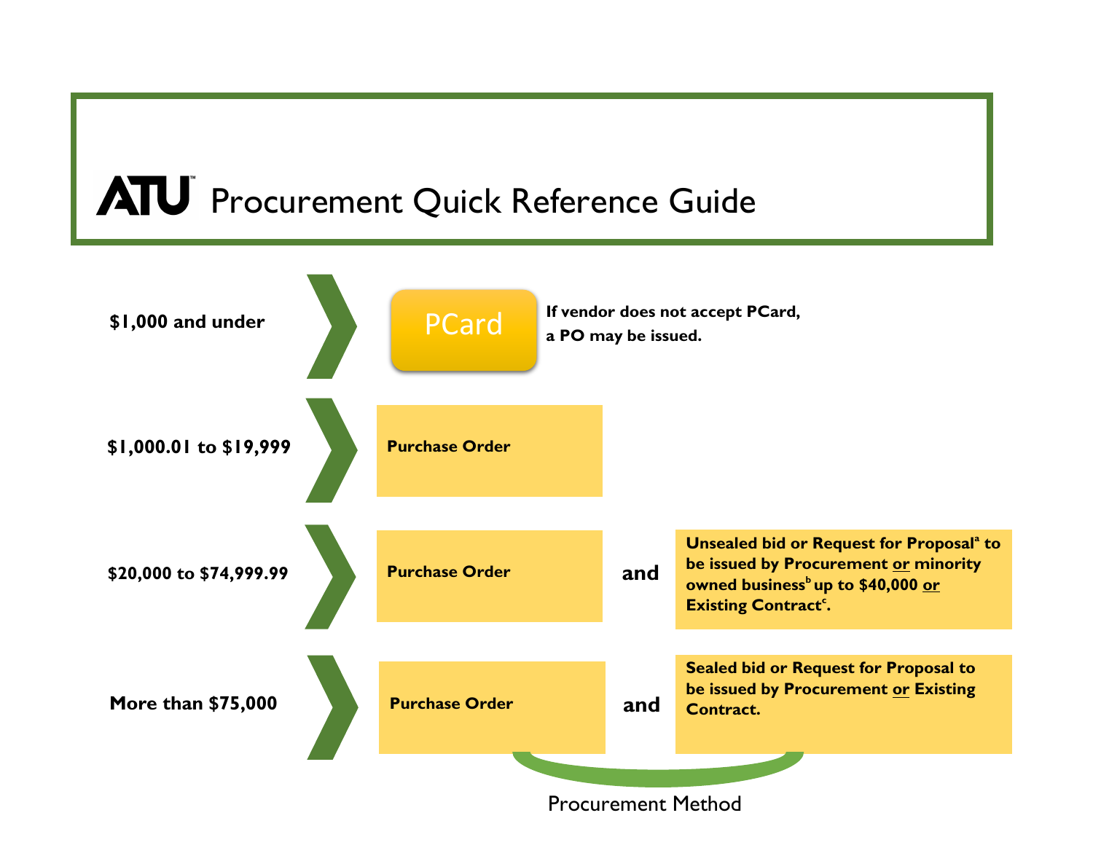# **ATU** Procurement Quick Reference Guide

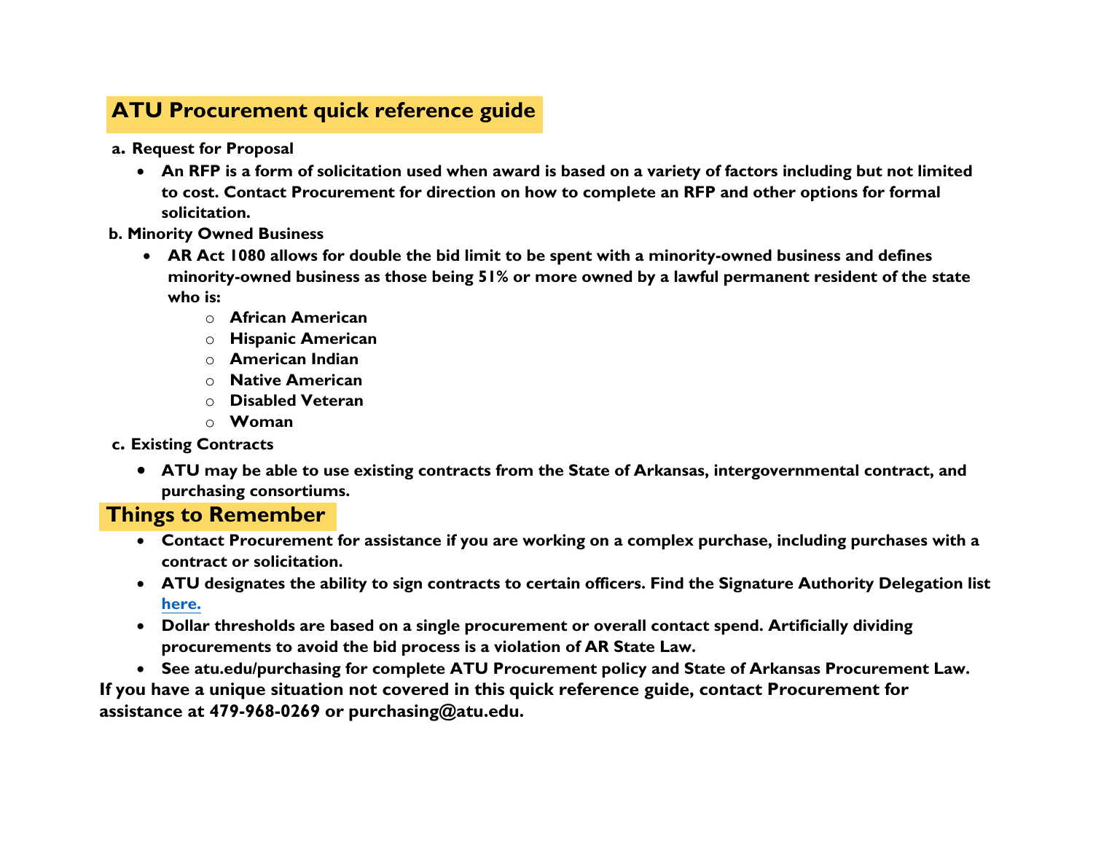# **ATU Procurement quick reference guide**

- **a. Request for Proposal**
	- **An RFP is a form of solicitation used when award is based on a variety of factors including but not limited to cost. Contact Procurement for direction on how to complete an RFP and other options for formal solicitation.**
- **b. Minority Owned Business**
	- **AR Act 1080 allows for double the bid limit to be spent with a minority-owned business and defines minority-owned business as those being 51% or more owned by a lawful permanent resident of the state who is:**
		- o **African American**
		- o **Hispanic American**
		- o **American Indian**
		- o **Native American**
		- o **Disabled Veteran**
		- o **Woman**
- **c. Existing Contracts**
	- **ATU may be able to use existing contracts from the State of Arkansas, intergovernmental contract, and purchasing consortiums.**

# **Things to Remember**

- **Contact Procurement for assistance if you are working on a complex purchase, including purchases with a contract or solicitation.**
- **ATU designates the ability to sign contracts to certain officers. Find the Signature Authority Delegation list [here.](https://www.atu.edu/purchasing/docs/purchasingguidelines%20Aug%202017.pdf)**
- **Dollar thresholds are based on a single procurement or overall contact spend. Artificially dividing procurements to avoid the bid process is a violation of AR State Law.**
- **See atu.edu/purchasing for complete ATU Procurement policy and State of Arkansas Procurement Law.**

**If you have a unique situation not covered in this quick reference guide, contact Procurement for assistance at 479-968-0269 or purchasing@atu.edu.**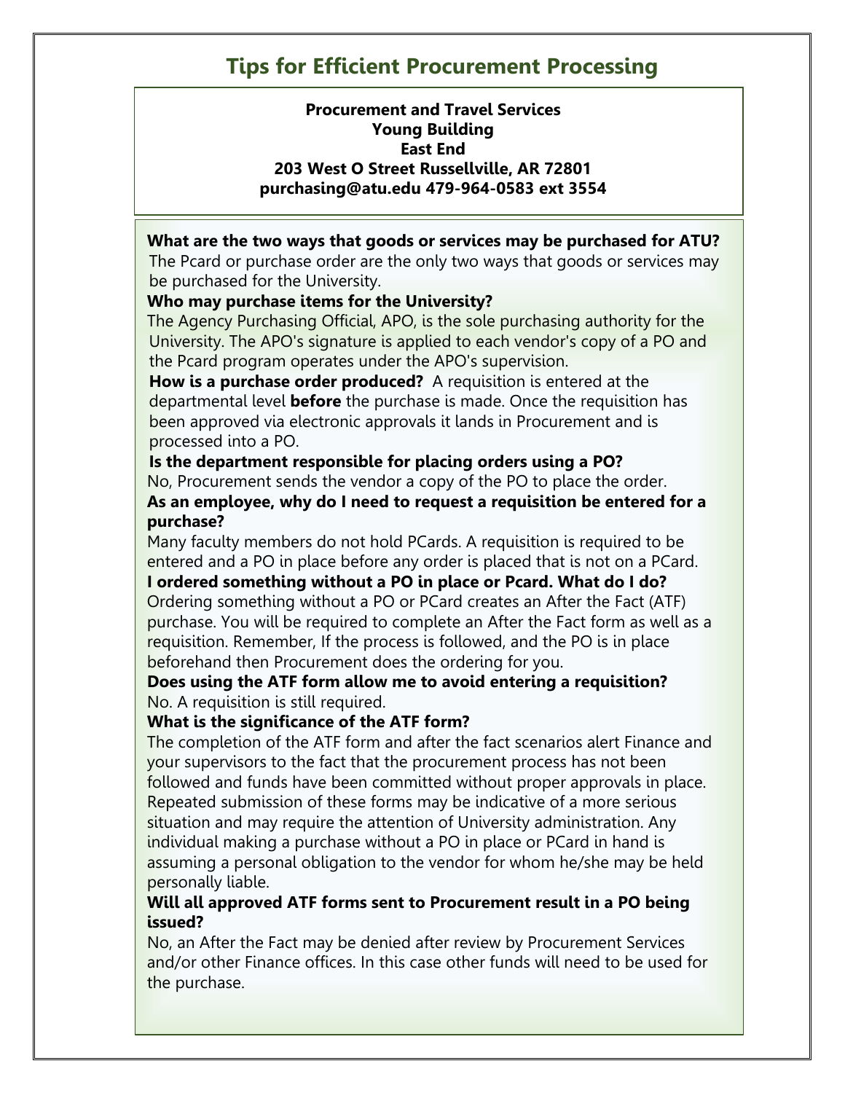# **Tips for Efficient Procurement Processing**

### **Procurement and Travel Services Young Building East End 203 West O Street Russellville, AR 72801 purchasing@atu.edu 479-964-0583 ext 3554**

**What are the two ways that goods or services may be purchased for ATU?**

[The Pcard or purchase o](mailto:purchasing@atu.edu)rder are the only two ways that go[ods or services m](mailto:travel@atu.edu)ay be purchased for the University.

### **Who may purchase items for the University?**

The Agency Purchasing Official, APO, is the sole purchasing authority for the University. The APO's signature is applied to each vendor's copy of a PO and the Pcard program operates under the APO's supervision.

**How is a purchase order produced?** A requisition is entered at the departmental level **before** the purchase is made. Once the requisition has been approved via electronic approvals it lands in Procurement and is processed into a PO.

**Is the department responsible for placing orders using a PO?**  No, Procurement sends the vendor a copy of the PO to place the order. **As an employee, why do I need to request a requisition be entered for a purchase?**

Many faculty members do not hold PCards. A requisition is required to be entered and a PO in place before any order is placed that is not on a PCard.

**I ordered something without a PO in place or Pcard. What do I do?**  Ordering something without a PO or PCard creates an After the Fact (ATF) purchase. You will be required to complete an After the Fact form as well as a requisition. Remember, If the process is followed, and the PO is in place beforehand then Procurement does the ordering for you.

### **Does using the ATF form allow me to avoid entering a requisition?**  No. A requisition is still required.

### **What is the significance of the ATF form?**

The completion of the ATF form and after the fact scenarios alert Finance and your supervisors to the fact that the procurement process has not been [followed and funds have been committed without proper approvals in p](https://www.atu.edu/purchasing/facultystaff.php)lace. Repeated submission of these forms may be indicative of a more serious situation and may require the attention of University administration. Any individual making a purchase without a PO in place or PCard in hand is assuming a personal obligation to the vendor for whom he/she may be held personally liable.

### **Will all approved ATF forms sent to Procurement result in a PO being issued?**

No, a[n After the Fact m](mailto:travel@atu.edu)ay be denied after review by Procurement Services and/or other Finance offices. In this case other funds will need to be used for the purchase.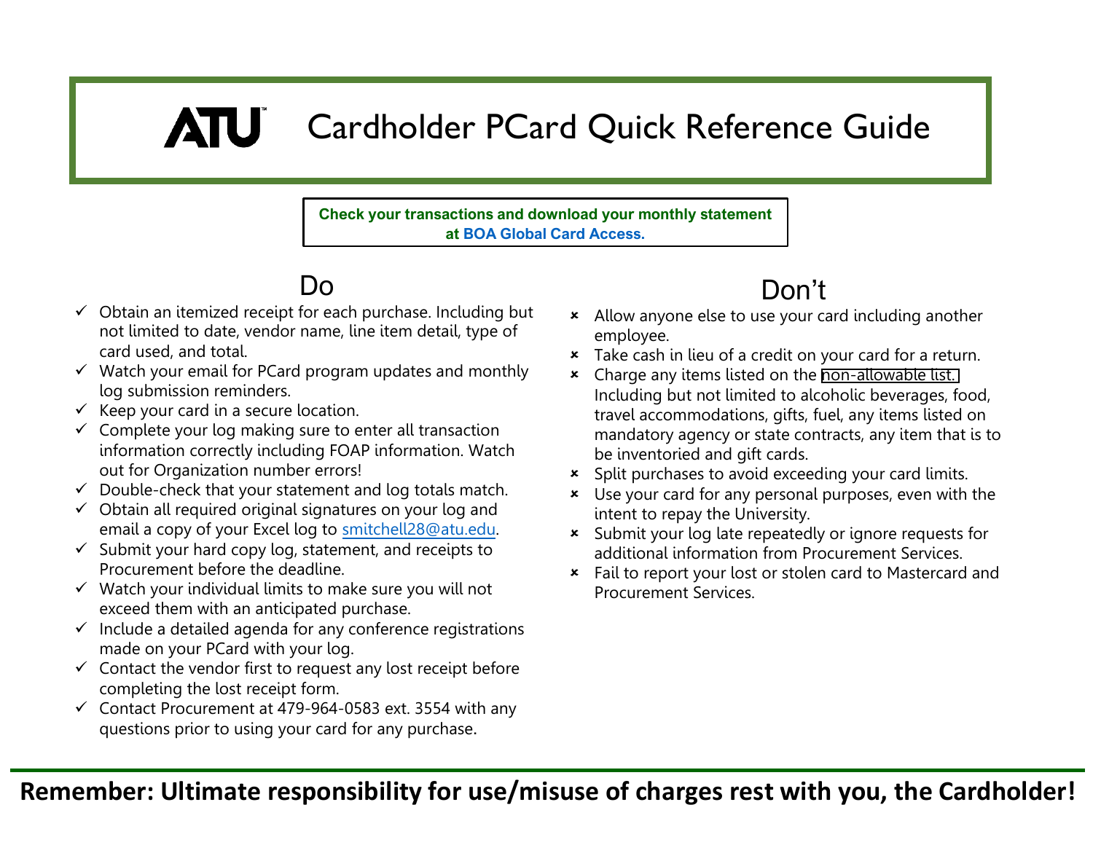# **ATU** Cardholder PCard Quick Reference Guide

**Check your transactions and download your monthly statement at [BOA Global Card Access.](https://spacardportal.works.com/gar/login)**

# Do

- $\checkmark$  Obtain an itemized receipt for each purchase. Including but not limited to date, vendor name, line item detail, type of card used, and total.
- $\checkmark$  Watch your email for PCard program updates and monthly log submission reminders.
- $\checkmark$  Keep your card in a secure location.
- $\checkmark$  Complete your log making sure to enter all transaction information correctly including FOAP information. Watch out for Organization number errors!
- $\checkmark$  Double-check that your statement and log totals match.
- $\checkmark$  Obtain all required original signatures on your log and email a copy of your Excel log to [smitchell28@atu.edu.](mailto:smitchell28@atu.edu)
- $\checkmark$  Submit your hard copy log, statement, and receipts to Procurement before the deadline.
- $\checkmark$  Watch your individual limits to make sure you will not exceed them with an anticipated purchase.
- $\checkmark$  Include a detailed agenda for any conference registrations made on your PCard with your log.
- $\checkmark$  Contact the vendor first to request any lost receipt before completing the lost receipt form.
- $\checkmark$  Contact Procurement at 479-964-0583 ext. 3554 with any questions prior to using your card for any purchase.

# Don't

- Allow anyone else to use your card including another employee.
- **\*** Take cash in lieu of a credit on your card for a return.
- **\*** Charge any items listed on the [non-allowable list.](https://www.atu.edu/purchasing/docs/P-Card%20Non%20Allowable%20List.pdf) Including but not limited to alcoholic beverages, food, travel accommodations, gifts, fuel, any items listed on mandatory agency or state contracts, any item that is to be inventoried and gift cards.
- **\*** Split purchases to avoid exceeding your card limits.
- Use your card for any personal purposes, even with the intent to repay the University.
- **\*** Submit your log late repeatedly or ignore requests for additional information from Procurement Services.
- **\*** Fail to report your lost or stolen card to Mastercard and Procurement Services.